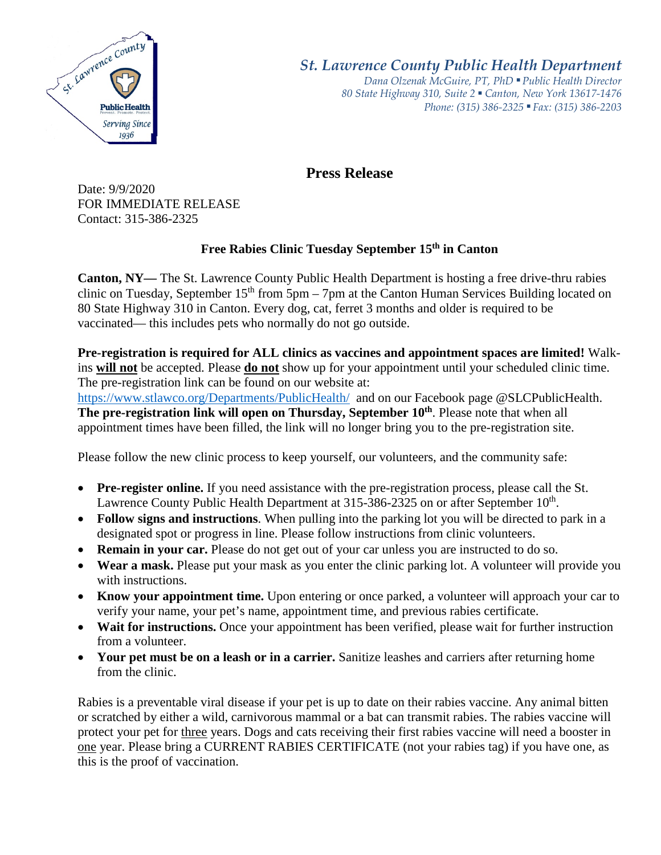

*St. Lawrence County Public Health Department*

*Dana Olzenak McGuire, PT, PhD ■ Public Health Director 80 State Highway 310, Suite 2 ■ Canton, New York 13617-1476 Phone: (315) 386-2325* ■ *Fax: (315) 386-2203*

## **Press Release**

Date: 9/9/2020 FOR IMMEDIATE RELEASE Contact: 315-386-2325

## **Free Rabies Clinic Tuesday September 15th in Canton**

**Canton, NY—** The St. Lawrence County Public Health Department is hosting a free drive-thru rabies clinic on Tuesday, September  $15<sup>th</sup>$  from  $5<sub>pm</sub> - 7<sub>pm</sub>$  at the Canton Human Services Building located on 80 State Highway 310 in Canton. Every dog, cat, ferret 3 months and older is required to be vaccinated— this includes pets who normally do not go outside.

**Pre-registration is required for ALL clinics as vaccines and appointment spaces are limited!** Walkins **will not** be accepted. Please **do not** show up for your appointment until your scheduled clinic time. The pre-registration link can be found on our website at:

<https://www.stlawco.org/Departments/PublicHealth/>and on our Facebook page @SLCPublicHealth. **The pre-registration link will open on Thursday, September 10<sup>th</sup>. Please note that when all** appointment times have been filled, the link will no longer bring you to the pre-registration site.

Please follow the new clinic process to keep yourself, our volunteers, and the community safe:

- **Pre-register online.** If you need assistance with the pre-registration process, please call the St. Lawrence County Public Health Department at 315-386-2325 on or after September 10<sup>th</sup>.
- **Follow signs and instructions**. When pulling into the parking lot you will be directed to park in a designated spot or progress in line. Please follow instructions from clinic volunteers.
- **Remain in your car.** Please do not get out of your car unless you are instructed to do so.
- **Wear a mask.** Please put your mask as you enter the clinic parking lot. A volunteer will provide you with instructions.
- **Know your appointment time.** Upon entering or once parked, a volunteer will approach your car to verify your name, your pet's name, appointment time, and previous rabies certificate.
- **Wait for instructions.** Once your appointment has been verified, please wait for further instruction from a volunteer.
- **Your pet must be on a leash or in a carrier.** Sanitize leashes and carriers after returning home from the clinic.

Rabies is a preventable viral disease if your pet is up to date on their rabies vaccine. Any animal bitten or scratched by either a wild, carnivorous mammal or a bat can transmit rabies. The rabies vaccine will protect your pet for three years. Dogs and cats receiving their first rabies vaccine will need a booster in one year. Please bring a CURRENT RABIES CERTIFICATE (not your rabies tag) if you have one, as this is the proof of vaccination.